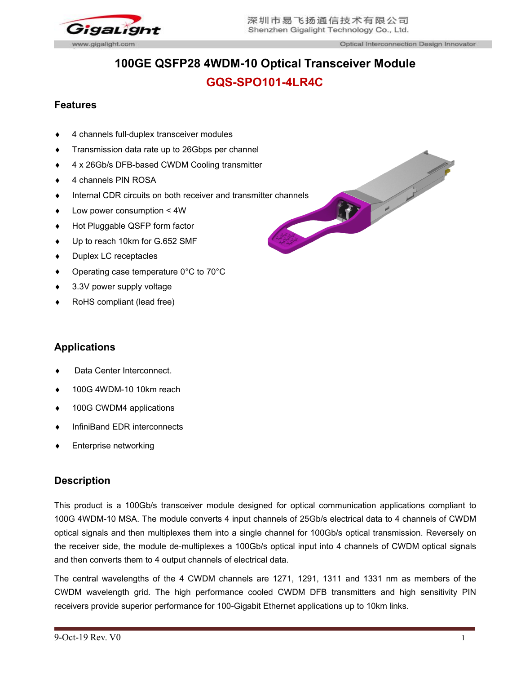

# **100GE QSFP28 4WDM-10 Optical Transceiver Module GQS-SPO101-4LR4C**

# **Features**

- 4 channels full-duplex transceiver modules
- **Transmission data rate up to 26Gbps per channel**
- ◆ 4 x 26Gb/s DFB-based CWDM Cooling transmitter
- ◆ 4 channels PIN ROSA
- 
- Low power consumption < 4W
- ◆ Hot Pluggable QSFP form factor
- ◆ Up to reach 10km for G.652 SMF
- ◆ Duplex LC receptacles
- Operating case temperature 0°C to 70°C
- ◆ 3.3V power supply voltage
- RoHS compliant (lead free)

# **Applications**

- Data Center Interconnect.
- 100G 4WDM-10 10km reach
- ◆ 100G CWDM4 applications
- InfiniBand EDR interconnects
- Enterprise networking

# **Description**

This product is a 100Gb/s transceiver module designed for optical communication applications compliant to 100G 4WDM-10 MSA. The module converts 4 input channels of 25Gb/s electrical data to 4 channels of CWDM optical signals and then multiplexes them into a single channel for 100Gb/s optical transmission. Reversely on the receiver side, the module de-multiplexes a 100Gb/s optical input into 4 channels of CWDM optical signals and then converts them to 4 output channels of electrical data.

The central wavelengths of the 4 CWDM channels are 1271, 1291, 1311 and 1331 nm as members of the CWDM wavelength grid. The high performance cooled CWDM DFB transmitters and high sensitivity PIN receivers provide superior performance for 100-Gigabit Ethernet applications up to 10km links.

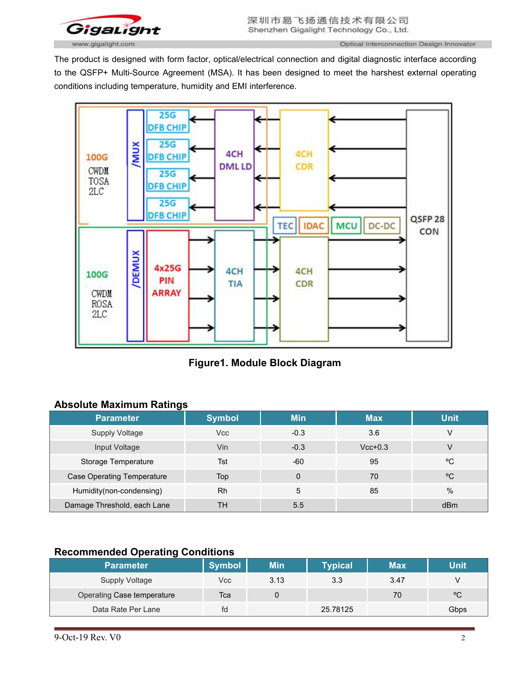

The product is designed with form factor, optical/electrical connection and digital diagnostic interface according to the QSFP+ Multi-Source Agreement (MSA). It has been designed to meet the harshest external operating conditions including temperature, humidity and EMI interference.



**Figure1. Module Block Diagram**

# **Absolute Maximum Ratings**

| -<br><b>Parameter</b>             | <b>Symbol</b> | <b>Min</b> | <b>Max</b> | <b>Unit</b> |
|-----------------------------------|---------------|------------|------------|-------------|
|                                   |               |            |            |             |
| <b>Supply Voltage</b>             | Vcc           | $-0.3$     | 3.6        | V           |
| Input Voltage                     | Vin           | $-0.3$     | $Vcc+0.3$  | V           |
| Storage Temperature               | Tst           | $-60$      | 95         | °C          |
| <b>Case Operating Temperature</b> | Top           |            | 70         | °C          |
| Humidity(non-condensing)          | <b>Rh</b>     | 5          | 85         | %           |
| Damage Threshold, each Lane       | <b>TH</b>     | 5.5        |            | dBm         |

# **Recommended Operating Conditions**

| <b>Parameter</b>           | <b>Symbol</b> | Min  | Typical <sup>l</sup> | <b>Max</b> | Unit |
|----------------------------|---------------|------|----------------------|------------|------|
| <b>Supply Voltage</b>      | Vcc           | 3.13 | 3.3                  | 3.47       |      |
| Operating Case temperature | Тса           |      |                      | 70         | °C   |
| Data Rate Per Lane         | fd            |      | 25.78125             |            | Gbps |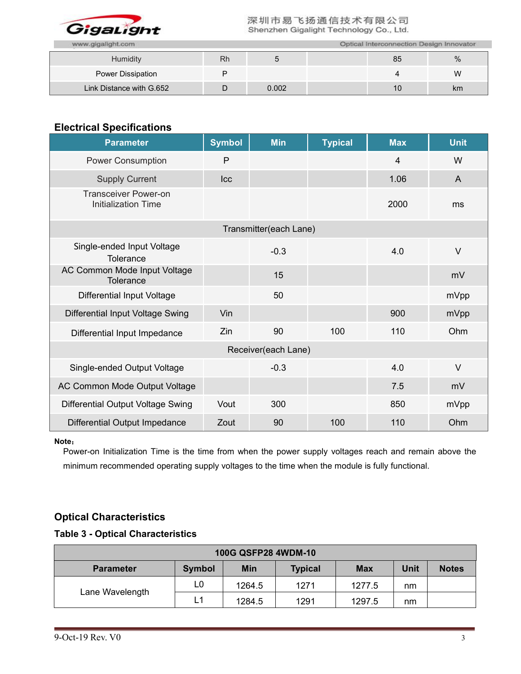

| www.gigalight.com        | Optical Interconnection Design Innovator |       |  |    |    |  |
|--------------------------|------------------------------------------|-------|--|----|----|--|
| Humidity                 | <b>Rh</b>                                |       |  | 85 | %  |  |
| Power Dissipation        |                                          |       |  |    | W  |  |
| Link Distance with G.652 | −                                        | 0.002 |  | 10 | km |  |

# **Electrical Specifications**

| <b>Parameter</b>                                          | <b>Symbol</b> | <b>Min</b>             | <b>Typical</b> | <b>Max</b> | <b>Unit</b>  |
|-----------------------------------------------------------|---------------|------------------------|----------------|------------|--------------|
| <b>Power Consumption</b>                                  | P             |                        |                | 4          | W            |
| <b>Supply Current</b>                                     | Icc           |                        |                | 1.06       | $\mathsf{A}$ |
| <b>Transceiver Power-on</b><br><b>Initialization Time</b> |               |                        |                | 2000       | ms           |
|                                                           |               | Transmitter(each Lane) |                |            |              |
| Single-ended Input Voltage<br>Tolerance                   |               | $-0.3$                 |                | 4.0        | $\vee$       |
| AC Common Mode Input Voltage<br>Tolerance                 |               | 15                     |                |            | mV           |
| <b>Differential Input Voltage</b>                         |               | 50                     |                |            | mVpp         |
| Differential Input Voltage Swing                          | Vin           |                        |                | 900        | mVpp         |
| Differential Input Impedance                              | Zin           | 90                     | 100            | 110        | Ohm          |
|                                                           |               | Receiver(each Lane)    |                |            |              |
| Single-ended Output Voltage                               |               | $-0.3$                 |                | 4.0        | $\vee$       |
| AC Common Mode Output Voltage                             |               |                        |                | 7.5        | mV           |
| Differential Output Voltage Swing                         | Vout          | 300                    |                | 850        | mVpp         |
| Differential Output Impedance                             | Zout          | 90                     | 100            | 110        | Ohm          |

#### **Note**:

Power-on Initialization Time is the time from when the power supply voltages reach and remain above the minimum recommended operating supply voltages to the time when the module is fully functional.

# **Optical Characteristics**

### **Table 3 - Optical Characteristics**

| 100G QSFP28 4WDM-10 |               |            |                |            |      |              |  |  |
|---------------------|---------------|------------|----------------|------------|------|--------------|--|--|
| <b>Parameter</b>    | <b>Symbol</b> | <b>Min</b> | <b>Typical</b> | <b>Max</b> | Unit | <b>Notes</b> |  |  |
| Lane Wavelength     | L0            | 1264.5     | 1271           | 1277.5     | nm   |              |  |  |
|                     | L1            | 1284.5     | 1291           | 1297.5     | nm   |              |  |  |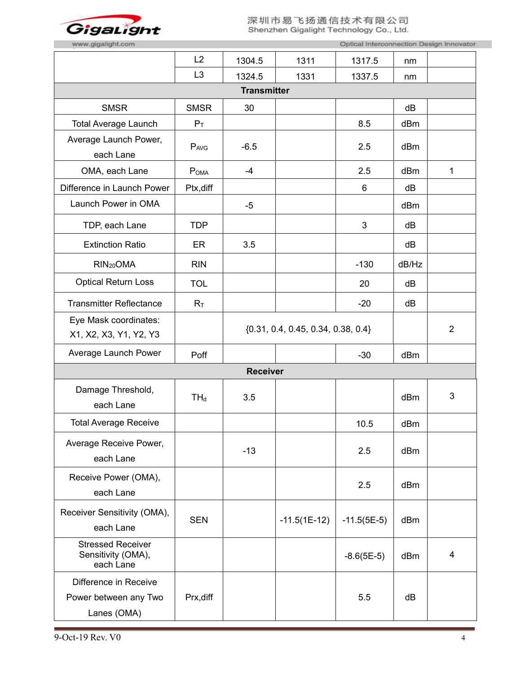

| www.gigalight.com                                             |                |                    |                                        | Optical Interconnection Design Innovator |       |                |
|---------------------------------------------------------------|----------------|--------------------|----------------------------------------|------------------------------------------|-------|----------------|
|                                                               | L2             | 1304.5             | 1311                                   | 1317.5                                   | nm    |                |
|                                                               | L <sub>3</sub> | 1324.5             | 1331                                   | 1337.5                                   | nm    |                |
|                                                               |                | <b>Transmitter</b> |                                        |                                          |       |                |
| <b>SMSR</b>                                                   | <b>SMSR</b>    | 30                 |                                        |                                          | dB    |                |
| <b>Total Average Launch</b>                                   | $P_T$          |                    |                                        | 8.5                                      | dBm   |                |
| Average Launch Power,<br>each Lane                            | PAVG           | $-6.5$             |                                        | 2.5                                      | dBm   |                |
| OMA, each Lane                                                | POMA           | $-4$               |                                        | 2.5                                      | dBm   | $\mathbf{1}$   |
| Difference in Launch Power                                    | Ptx, diff      |                    |                                        | 6                                        | dB    |                |
| Launch Power in OMA                                           |                | $-5$               |                                        |                                          | dBm   |                |
| TDP, each Lane                                                | <b>TDP</b>     |                    |                                        | 3                                        | dB    |                |
| <b>Extinction Ratio</b>                                       | ER             | 3.5                |                                        |                                          | dB    |                |
| RIN <sub>20</sub> OMA                                         | <b>RIN</b>     |                    |                                        | $-130$                                   | dB/Hz |                |
| <b>Optical Return Loss</b>                                    | <b>TOL</b>     |                    |                                        | 20                                       | dB    |                |
| <b>Transmitter Reflectance</b>                                | $R_T$          |                    |                                        | $-20$                                    | dB    |                |
| Eye Mask coordinates:<br>X1, X2, X3, Y1, Y2, Y3               |                |                    | $\{0.31, 0.4, 0.45, 0.34, 0.38, 0.4\}$ |                                          |       | $\overline{2}$ |
| Average Launch Power                                          | Poff           |                    |                                        | $-30$                                    | dBm   |                |
|                                                               |                | <b>Receiver</b>    |                                        |                                          |       |                |
| Damage Threshold,<br>each Lane                                | $TH_d$         | 3.5                |                                        |                                          | dBm   | 3              |
| <b>Total Average Receive</b>                                  |                |                    |                                        | 10.5                                     | dBm   |                |
| Average Receive Power,<br>each Lane                           |                | $-13$              |                                        | 2.5                                      | dBm   |                |
| Receive Power (OMA),<br>each Lane                             |                |                    |                                        | 2.5                                      | dBm   |                |
| Receiver Sensitivity (OMA),<br>each Lane                      | <b>SEN</b>     |                    | $-11.5(1E-12)$                         | $-11.5(5E-5)$                            | dBm   |                |
| <b>Stressed Receiver</b><br>Sensitivity (OMA),<br>each Lane   |                |                    |                                        | $-8.6(5E-5)$                             | dBm   | $\overline{4}$ |
| Difference in Receive<br>Power between any Two<br>Lanes (OMA) | Prx, diff      |                    |                                        | 5.5                                      | dB    |                |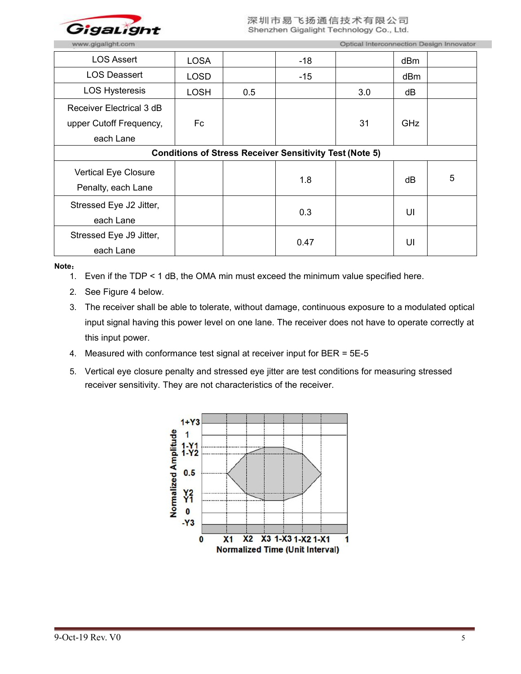

| <b>LOS Assert</b>                                              | <b>LOSA</b> |     | $-18$ |     | dBm |   |  |
|----------------------------------------------------------------|-------------|-----|-------|-----|-----|---|--|
| <b>LOS Deassert</b>                                            | LOSD        |     | $-15$ |     | dBm |   |  |
| <b>LOS Hysteresis</b>                                          | <b>LOSH</b> | 0.5 |       | 3.0 | dB  |   |  |
| Receiver Electrical 3 dB                                       |             |     |       |     |     |   |  |
| upper Cutoff Frequency,                                        | Fc          |     |       | 31  | GHz |   |  |
| each Lane                                                      |             |     |       |     |     |   |  |
| <b>Conditions of Stress Receiver Sensitivity Test (Note 5)</b> |             |     |       |     |     |   |  |
| Vertical Eye Closure                                           |             |     |       |     |     | 5 |  |
| Penalty, each Lane                                             |             |     | 1.8   |     | dB  |   |  |
| Stressed Eye J2 Jitter,                                        |             |     |       |     |     |   |  |
| each Lane                                                      |             |     | 0.3   |     | UI  |   |  |
| Stressed Eye J9 Jitter,                                        |             |     | 0.47  |     | UI  |   |  |
| each Lane                                                      |             |     |       |     |     |   |  |

**Note**:

1. Even if the TDP < 1 dB, the OMA min must exceed the minimum value specified here.

- 2. See Figure 4 below.
- 3. The receiver shall be able to tolerate, without damage, continuous exposure to a modulated optical input signal having this power level on one lane. The receiver does not have to operate correctly at this input power.
- 4. Measured with conformance test signal at receiver input for BER = 5E-5
- 5. Vertical eye closure penalty and stressed eye jitter are test conditions for measuring stressed receiver sensitivity. They are not characteristics of the receiver.

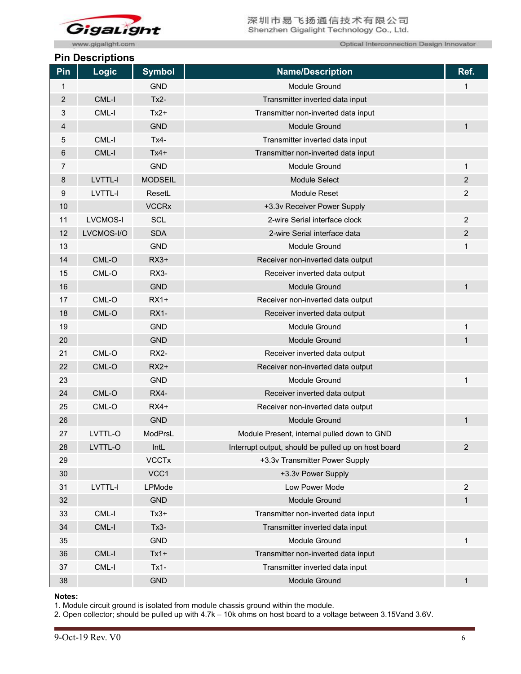

www.gigalight.com

### **Pin Descriptions**

Optical Interconnection Design Innovator

|                | טווטואןווטטטש ווו |                |                                                     |                |
|----------------|-------------------|----------------|-----------------------------------------------------|----------------|
| Pin            | <b>Logic</b>      | <b>Symbol</b>  | <b>Name/Description</b>                             | Ref.           |
| 1              |                   | <b>GND</b>     | Module Ground                                       | 1              |
| $\overline{2}$ | CML-I             | $Tx2 -$        | Transmitter inverted data input                     |                |
| 3              | CML-I             | $Tx2+$         | Transmitter non-inverted data input                 |                |
| 4              |                   | <b>GND</b>     | Module Ground                                       | $\mathbf{1}$   |
| 5              | CML-I             | $Tx4-$         | Transmitter inverted data input                     |                |
| 6              | CML-I             | $Tx4+$         | Transmitter non-inverted data input                 |                |
| 7              |                   | <b>GND</b>     | Module Ground                                       | $\mathbf{1}$   |
| 8              | LVTTL-I           | <b>MODSEIL</b> | Module Select                                       | $\overline{c}$ |
| 9              | LVTTL-I           | ResetL         | Module Reset                                        | $\overline{c}$ |
| 10             |                   | <b>VCCRx</b>   | +3.3v Receiver Power Supply                         |                |
| 11             | <b>LVCMOS-I</b>   | SCL            | 2-wire Serial interface clock                       | 2              |
| 12             | LVCMOS-I/O        | <b>SDA</b>     | 2-wire Serial interface data                        | $\overline{c}$ |
| 13             |                   | <b>GND</b>     | Module Ground                                       | 1              |
| 14             | CML-O             | $RX3+$         | Receiver non-inverted data output                   |                |
| 15             | CML-O             | RX3-           | Receiver inverted data output                       |                |
| 16             |                   | <b>GND</b>     | Module Ground                                       | 1              |
| 17             | CML-O             | $RX1+$         | Receiver non-inverted data output                   |                |
| 18             | CML-O             | <b>RX1-</b>    | Receiver inverted data output                       |                |
| 19             |                   | <b>GND</b>     | Module Ground                                       | 1              |
| 20             |                   | <b>GND</b>     | Module Ground                                       | $\mathbf 1$    |
| 21             | CML-O             | RX2-           | Receiver inverted data output                       |                |
| 22             | $CML-O$           | $RX2+$         | Receiver non-inverted data output                   |                |
| 23             |                   | <b>GND</b>     | Module Ground                                       | $\mathbf 1$    |
| 24             | CML-O             | RX4-           | Receiver inverted data output                       |                |
| 25             | CML-O             | $RX4+$         | Receiver non-inverted data output                   |                |
| 26             |                   | <b>GND</b>     | Module Ground                                       | 1              |
| 27             | LVTTL-O           | ModPrsL        | Module Present, internal pulled down to GND         |                |
| 28             | LVTTL-O           | IntL           | Interrupt output, should be pulled up on host board | $\overline{2}$ |
| 29             |                   | <b>VCCTx</b>   | +3.3v Transmitter Power Supply                      |                |
| 30             |                   | VCC1           | +3.3v Power Supply                                  |                |
| 31             | LVTTL-I           | <b>LPMode</b>  | Low Power Mode                                      | $\overline{c}$ |
| 32             |                   | <b>GND</b>     | Module Ground                                       | $\mathbf{1}$   |
| 33             | $CML-I$           | $Tx3+$         | Transmitter non-inverted data input                 |                |
| 34             | CML-I             | $Tx3 -$        | Transmitter inverted data input                     |                |
| 35             |                   | <b>GND</b>     | Module Ground                                       | 1              |
| 36             | CML-I             | $Tx1+$         | Transmitter non-inverted data input                 |                |
| 37             | $CML-I$           | $Tx1-$         | Transmitter inverted data input                     |                |
| 38             |                   | <b>GND</b>     | Module Ground                                       | $\mathbf{1}$   |
|                |                   |                |                                                     |                |

#### **Notes:**

1. Module circuit ground is isolated from module chassis ground within the module.

2. Open collector; should be pulled up with 4.7k – 10k ohms on host board to a voltage between 3.15Vand 3.6V.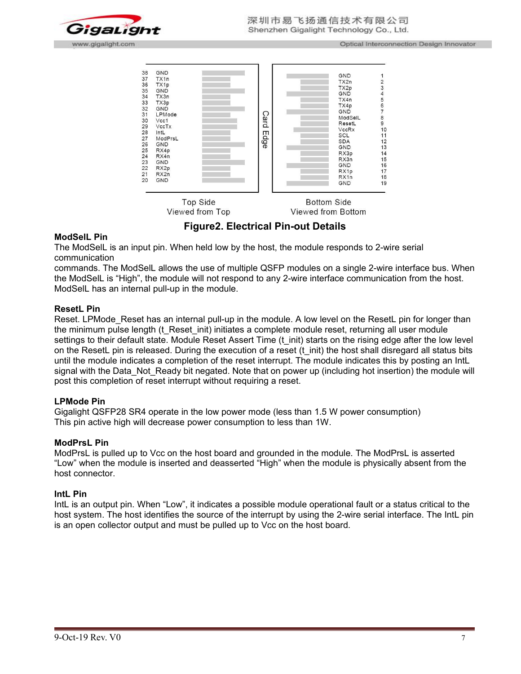



**Figure2. Electrical Pin-out Details**

#### **ModSelL Pin**

The ModSelL is an input pin. When held low by the host, the module responds to 2-wire serial communication

commands. The ModSelL allows the use of multiple QSFP modules on a single 2-wire interface bus. When the ModSelL is "High", the module will not respond to any 2-wire interface communication from the host. ModSelL has an internal pull-up in the module.

#### **ResetL Pin**

Reset. LPMode Reset has an internal pull-up in the module. A low level on the ResetL pin for longer than the minimum pulse length (t\_Reset\_init) initiates a complete module reset, returning all user module settings to their default state. Module Reset Assert Time (t\_init) starts on the rising edge after the low level on the ResetL pin is released. During the execution of a reset (t\_init) the host shall disregard all status bits until the module indicates a completion of the reset interrupt. The module indicates this by posting an IntL signal with the Data Not Ready bit negated. Note that on power up (including hot insertion) the module will post this completion of reset interrupt without requiring a reset.

#### **LPMode Pin**

Gigalight QSFP28 SR4 operate in the low power mode (less than 1.5 W power consumption) This pin active high will decrease power consumption to less than 1W.

#### **ModPrsL Pin**

ModPrsL is pulled up to Vcc on the host board and grounded in the module. The ModPrsL is asserted "Low" when the module is inserted and deasserted "High" when the module is physically absent from the host connector.

#### **IntL Pin**

IntL is an output pin. When "Low", it indicates a possible module operational fault or a status critical to the host system. The host identifies the source of the interrupt by using the 2-wire serial interface. The IntL pin is an open collector output and must be pulled up to Vcc on the host board.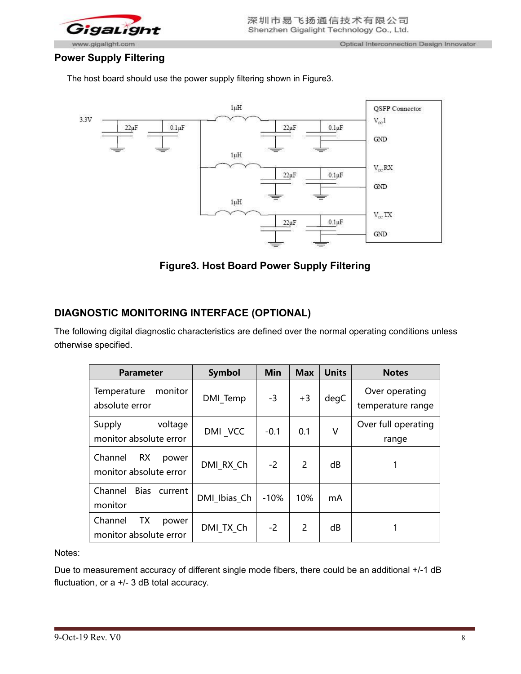

# **Power Supply Filtering**

The host board should use the power supply filtering shown in Figure3.



**Figure3. Host Board Power Supply Filtering**

# **DIAGNOSTIC MONITORING INTERFACE (OPTIONAL)**

The following digital diagnostic characteristics are defined over the normal operating conditions unless otherwise specified.

| <b>Parameter</b>                                        | Symbol       | Min    | <b>Max</b>     | <b>Units</b> | <b>Notes</b>                        |
|---------------------------------------------------------|--------------|--------|----------------|--------------|-------------------------------------|
| monitor<br>Temperature<br>absolute error                | DMI Temp     | $-3$   | $+3$           | degC         | Over operating<br>temperature range |
| voltage<br>Supply<br>monitor absolute error             | DMI VCC      | $-0.1$ | 0.1            | $\vee$       | Over full operating<br>range        |
| Channel<br><b>RX</b><br>power<br>monitor absolute error | DMI RX Ch    | $-2$   | $\overline{2}$ | dB           |                                     |
| <b>Bias</b><br>Channel<br>current<br>monitor            | DMI Ibias Ch | $-10%$ | 10%            | mA           |                                     |
| Channel<br>TХ<br>power<br>monitor absolute error        | DMI TX Ch    | $-2$   | 2              | dB           |                                     |

Notes:

Due to measurement accuracy of different single mode fibers, there could be an additional +/-1 dB fluctuation, or a +/- 3 dB total accuracy.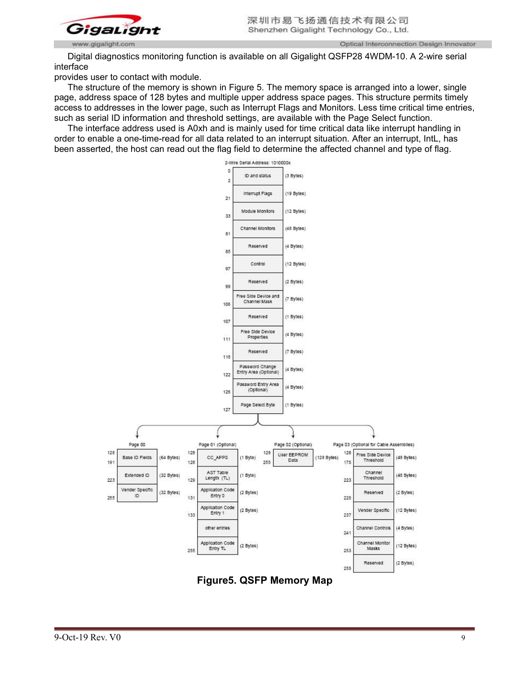

Optical Interconnection Design Innovator

Digital diagnostics monitoring function is available on all Gigalight QSFP28 4WDM-10. A 2-wire serial interface

provides user to contact with module.

The structure of the memory is shown in Figure 5. The memory space is arranged into a lower, single page, address space of 128 bytes and multiple upper address space pages. This structure permits timely access to addresses in the lower page, such as Interrupt Flags and Monitors. Less time critical time entries, such as serial ID information and threshold settings, are available with the Page Select function.

The interface address used is A0xh and is mainly used for time critical data like interrupt handling in order to enable a one-time-read for all data related to an interrupt situation. After an interrupt, IntL, has been asserted, the host can read out the flag field to determine the affected channel and type of flag.



**Figure5. QSFP Memory Map**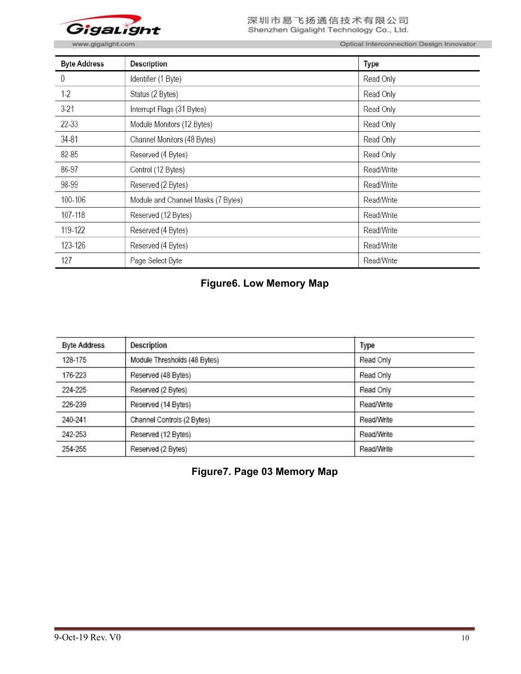

www.gigalight.com

Optical Interconnection Design Innovator

| <b>Byte Address</b> | <b>Description</b>                 | Type       |
|---------------------|------------------------------------|------------|
| 0                   | Identifier (1 Byte)                | Read Only  |
| $1-2$               | Status (2 Bytes)                   | Read Only  |
| $3-21$              | Interrupt Flags (31 Bytes)         | Read Only  |
| 22-33               | Module Monitors (12 Bytes)         | Read Only  |
| $34 - 81$           | Channel Monitors (48 Bytes)        | Read Only  |
| 82-85               | Reserved (4 Bytes)                 | Read Only  |
| 86-97               | Control (12 Bytes)                 | Read/Write |
| 98-99               | Reserved (2 Bytes)                 | Read/Write |
| 100-106             | Module and Channel Masks (7 Bytes) | Read/Write |
| 107-118             | Reserved (12 Bytes)                | Read/Write |
| 119-122             | Reserved (4 Bytes)                 | Read/Write |
| 123-126             | Reserved (4 Bytes)                 | Read/Write |
| 127                 | Page Select Byte                   | Read/Write |

# **Figure6. Low Memory Map**

| <b>Byte Address</b> | <b>Description</b>           | Type       |
|---------------------|------------------------------|------------|
| 128-175             | Module Thresholds (48 Bytes) | Read Only  |
| 176-223             | Reserved (48 Bytes)          | Read Only  |
| 224-225             | Reserved (2 Bytes)           | Read Only  |
| 226-239             | Reserved (14 Bytes)          | Read/Write |
| 240-241             | Channel Controls (2 Bytes)   | Read/Write |
| 242-253             | Reserved (12 Bytes)          | Read/Write |
| 254-255             | Reserved (2 Bytes)           | Read/Write |

**Figure7. Page 03 Memory Map**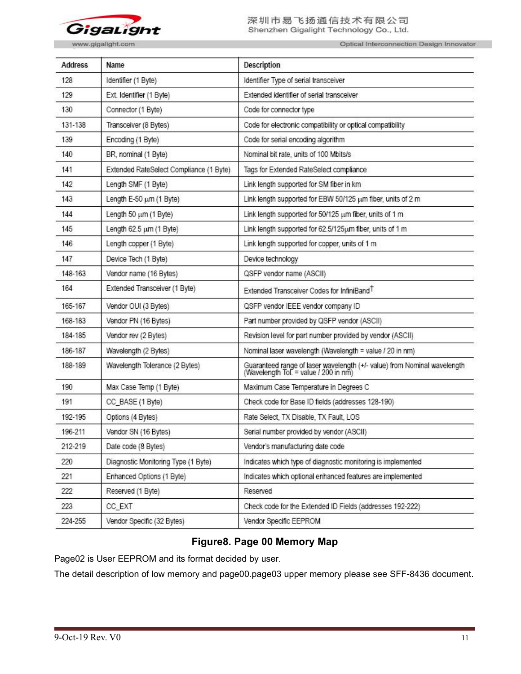

Optical Interconnection Design Innovator

| <b>Address</b> | Name                                    | Description                                                                                                       |
|----------------|-----------------------------------------|-------------------------------------------------------------------------------------------------------------------|
| 128            | Identifier (1 Byte)                     | Identifier Type of serial transceiver                                                                             |
| 129            | Ext. Identifier (1 Byte)                | Extended identifier of serial transceiver                                                                         |
| 130            | Connector (1 Byte)                      | Code for connector type                                                                                           |
| 131-138        | Transceiver (8 Bytes)                   | Code for electronic compatibility or optical compatibility                                                        |
| 139            | Encoding (1 Byte)                       | Code for serial encoding algorithm                                                                                |
| 140            | BR, nominal (1 Byte)                    | Nominal bit rate, units of 100 Mbits/s                                                                            |
| 141            | Extended RateSelect Compliance (1 Byte) | Tags for Extended RateSelect compliance                                                                           |
| 142            | Length SMF (1 Byte)                     | Link length supported for SM fiber in km                                                                          |
| 143            | Length E-50 um (1 Byte)                 | Link length supported for EBW 50/125 um fiber, units of 2 m                                                       |
| 144            | Length 50 um (1 Byte)                   | Link length supported for 50/125 um fiber, units of 1 m                                                           |
| 145            | Length 62.5 um (1 Byte)                 | Link length supported for 62.5/125um fiber, units of 1 m                                                          |
| 146            | Length copper (1 Byte)                  | Link length supported for copper, units of 1 m                                                                    |
| 147            | Device Tech (1 Byte)                    | Device technology                                                                                                 |
| 148-163        | Vendor name (16 Bytes)                  | QSFP vendor name (ASCII)                                                                                          |
| 164            | Extended Transceiver (1 Byte)           | Extended Transceiver Codes for InfiniBand <sup>T</sup>                                                            |
| 165-167        | Vendor OUI (3 Bytes)                    | QSFP vendor IEEE vendor company ID                                                                                |
| 168-183        | Vendor PN (16 Bytes)                    | Part number provided by QSFP vendor (ASCII)                                                                       |
| 184-185        | Vendor rev (2 Bytes)                    | Revision level for part number provided by vendor (ASCII)                                                         |
| 186-187        | Wavelength (2 Bytes)                    | Nominal laser wavelength (Wavelength = value / 20 in nm)                                                          |
| 188-189        | Wavelength Tolerance (2 Bytes)          | Guaranteed range of laser wavelength (+/- value) from Nominal wavelength<br>(Wavelength Tol. = value / 200 in nm) |
| 190            | Max Case Temp (1 Byte)                  | Maximum Case Temperature in Degrees C                                                                             |
| 191            | CC_BASE (1 Byte)                        | Check code for Base ID fields (addresses 128-190)                                                                 |
| 192-195        | Options (4 Bytes)                       | Rate Select, TX Disable, TX Fault, LOS                                                                            |
| 196-211        | Vendor SN (16 Bytes)                    | Serial number provided by vendor (ASCII)                                                                          |
| 212-219        | Date code (8 Bytes)                     | Vendor's manufacturing date code                                                                                  |
| 220            | Diagnostic Monitoring Type (1 Byte)     | Indicates which type of diagnostic monitoring is implemented                                                      |
| 221            | Enhanced Options (1 Byte)               | Indicates which optional enhanced features are implemented                                                        |
| 222            | Reserved (1 Byte)                       | Reserved                                                                                                          |
| 223            | CC_EXT                                  | Check code for the Extended ID Fields (addresses 192-222)                                                         |
| 224-255        | Vendor Specific (32 Bytes)              | Vendor Specific EEPROM                                                                                            |

# **Figure8. Page 00 Memory Map**

Page02 is User EEPROM and its format decided by user.

The detail description of low memory and page00.page03 upper memory please see SFF-8436 document.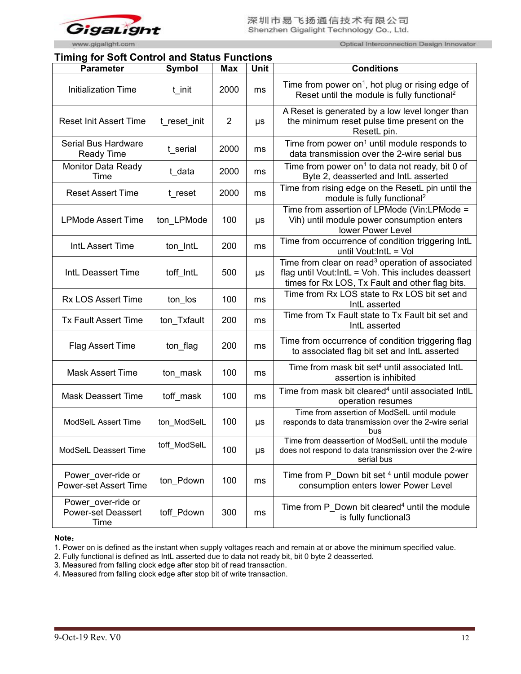

Optical Interconnection Design Innovator

# **Timing for Soft Control and Status Functions**

| <b>Parameter</b>                                        | Symbol       | <b>Max</b>     | <b>Unit</b> | <b>Conditions</b>                                                                                                                                                      |
|---------------------------------------------------------|--------------|----------------|-------------|------------------------------------------------------------------------------------------------------------------------------------------------------------------------|
| Initialization Time                                     | t init       | 2000           | ms          | Time from power on <sup>1</sup> , hot plug or rising edge of<br>Reset until the module is fully functional <sup>2</sup>                                                |
| <b>Reset Init Assert Time</b>                           | t reset init | $\overline{2}$ | $\mu s$     | A Reset is generated by a low level longer than<br>the minimum reset pulse time present on the<br>ResetL pin.                                                          |
| Serial Bus Hardware<br><b>Ready Time</b>                | t serial     | 2000           | ms          | Time from power on <sup>1</sup> until module responds to<br>data transmission over the 2-wire serial bus                                                               |
| <b>Monitor Data Ready</b><br>Time                       | t data       | 2000           | ms          | Time from power on <sup>1</sup> to data not ready, bit 0 of<br>Byte 2, deasserted and IntL asserted                                                                    |
| <b>Reset Assert Time</b>                                | t reset      | 2000           | ms          | Time from rising edge on the ResetL pin until the<br>module is fully functional <sup>2</sup>                                                                           |
| <b>LPMode Assert Time</b>                               | ton_LPMode   | 100            | μs          | Time from assertion of LPMode (Vin:LPMode =<br>Vih) until module power consumption enters<br>lower Power Level                                                         |
| IntL Assert Time                                        | ton IntL     | 200            | ms          | Time from occurrence of condition triggering IntL<br>until Vout: IntL = Vol                                                                                            |
| IntL Deassert Time                                      | toff IntL    | 500            | $\mu s$     | Time from clear on read <sup>3</sup> operation of associated<br>flag until Vout: IntL = Voh. This includes deassert<br>times for Rx LOS, Tx Fault and other flag bits. |
| <b>Rx LOS Assert Time</b>                               | ton los      | 100            | ms          | Time from Rx LOS state to Rx LOS bit set and<br>IntL asserted                                                                                                          |
| <b>Tx Fault Assert Time</b>                             | ton Txfault  | 200            | ms          | Time from Tx Fault state to Tx Fault bit set and<br>IntL asserted                                                                                                      |
| Flag Assert Time                                        | ton flag     | 200            | ms          | Time from occurrence of condition triggering flag<br>to associated flag bit set and IntL asserted                                                                      |
| <b>Mask Assert Time</b>                                 | ton mask     | 100            | ms          | Time from mask bit set <sup>4</sup> until associated IntL<br>assertion is inhibited                                                                                    |
| <b>Mask Deassert Time</b>                               | toff mask    | 100            | ms          | Time from mask bit cleared <sup>4</sup> until associated IntlL<br>operation resumes                                                                                    |
| ModSelL Assert Time                                     | ton_ModSelL  | 100            | $\mu s$     | Time from assertion of ModSelL until module<br>responds to data transmission over the 2-wire serial<br>bus                                                             |
| ModSelL Deassert Time                                   | toff_ModSelL | 100            | $\mu s$     | Time from deassertion of ModSelL until the module<br>does not respond to data transmission over the 2-wire<br>serial bus                                               |
| Power_over-ride or<br><b>Power-set Assert Time</b>      | ton Pdown    | 100            | ms          | Time from P Down bit set 4 until module power<br>consumption enters lower Power Level                                                                                  |
| Power over-ride or<br><b>Power-set Deassert</b><br>Time | toff Pdown   | 300            | ms          | Time from P Down bit cleared <sup>4</sup> until the module<br>is fully functional3                                                                                     |

**Note**:

<sup>1.</sup> Power on is defined as the instant when supply voltages reach and remain at or above the minimum specified value.

<sup>2.</sup> Fully functional is defined as IntL asserted due to data not ready bit, bit 0 byte 2 deasserted.

<sup>3.</sup> Measured from falling clock edge after stop bit of read transaction.

<sup>4.</sup> Measured from falling clock edge after stop bit of write transaction.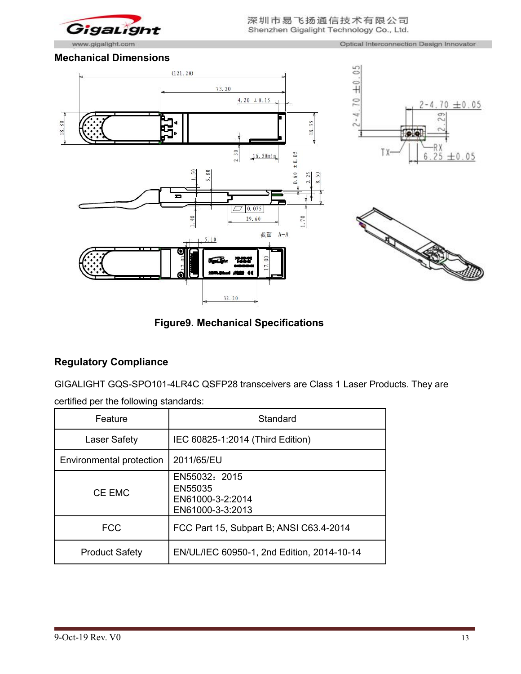

Optical Interconnection Design Innovator

### **Mechanical Dimensions**







# **Figure9. Mechanical Specifications**

# **Regulatory Compliance**

GIGALIGHT GQS-SPO101-4LR4C QSFP28 transceivers are Class 1 Laser Products. They are

|  | certified per the following standards: |  |
|--|----------------------------------------|--|
|--|----------------------------------------|--|

| Feature                  | Standard                                                         |
|--------------------------|------------------------------------------------------------------|
| Laser Safety             | IEC 60825-1:2014 (Third Edition)                                 |
| Environmental protection | 2011/65/EU                                                       |
| CE EMC                   | EN55032: 2015<br>EN55035<br>EN61000-3-2:2014<br>EN61000-3-3:2013 |
| <b>FCC</b>               | FCC Part 15, Subpart B; ANSI C63.4-2014                          |
| <b>Product Safety</b>    | EN/UL/IEC 60950-1, 2nd Edition, 2014-10-14                       |